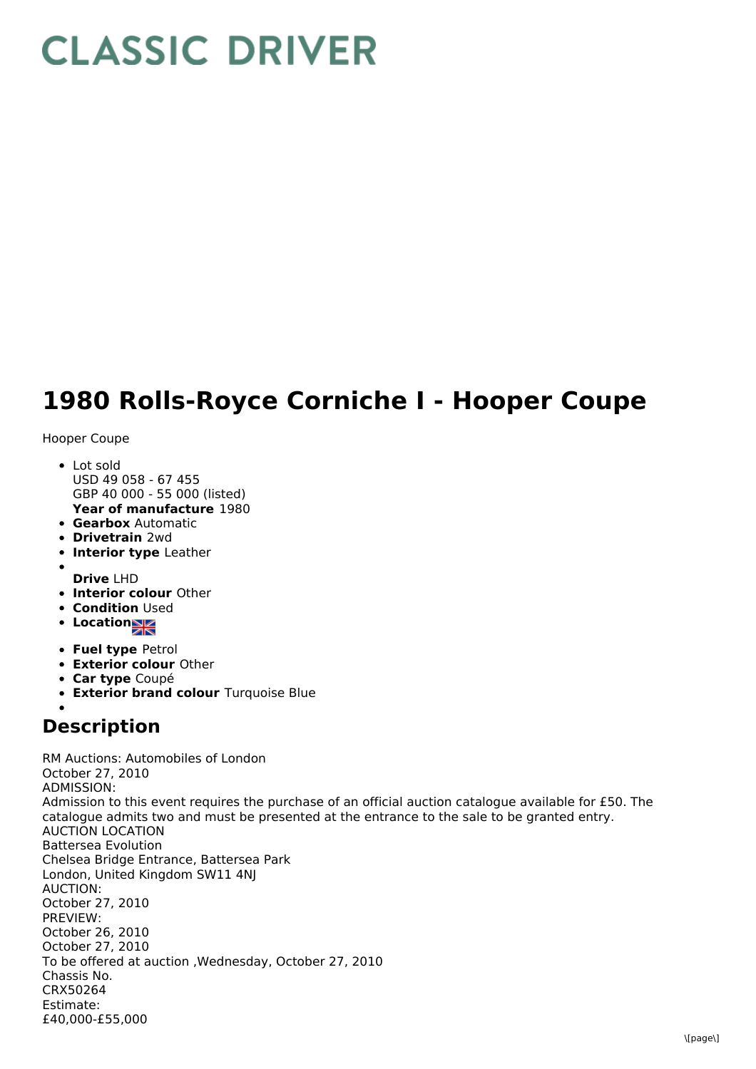## **CLASSIC DRIVER**

## **1980 Rolls-Royce Corniche I - Hooper Coupe**

Hooper Coupe

- **Year of manufacture** 1980 • Lot sold USD 49 058 - 67 455 GBP 40 000 - 55 000 (listed)
- **Gearbox** Automatic
- **Drivetrain** 2wd
- **Interior type** Leather
- 
- **Drive** LHD
- **Interior colour** Other
- **Condition Used**
- Location
- **Fuel type** Petrol
- **Exterior colour** Other
- **Car type** Coupé
- **Exterior brand colour** Turquoise Blue

## **Description**

RM Auctions: Automobiles of London October 27, 2010 ADMISSION: Admission to this event requires the purchase of an official auction catalogue available for £50. The catalogue admits two and must be presented at the entrance to the sale to be granted entry. AUCTION LOCATION Battersea Evolution Chelsea Bridge Entrance, Battersea Park London, United Kingdom SW11 4NJ AUCTION: October 27, 2010 PREVIEW: October 26, 2010 October 27, 2010 To be offered at auction ,Wednesday, October 27, 2010 Chassis No. CRX50264 Estimate: £40,000-£55,000